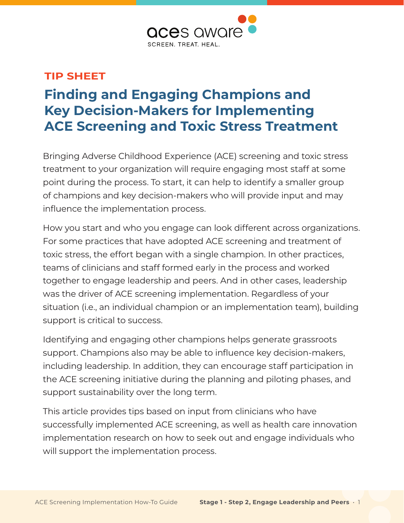

#### **TIP SHEET**

# **Finding and Engaging Champions and Key Decision-Makers for Implementing ACE Screening and Toxic Stress Treatment**

Bringing Adverse Childhood Experience (ACE) screening and toxic stress treatment to your organization will require engaging most staff at some point during the process. To start, it can help to identify a smaller group of champions and key decision-makers who will provide input and may influence the implementation process.

How you start and who you engage can look different across organizations. For some practices that have adopted ACE screening and treatment of toxic stress, the effort began with a single champion. In other practices, teams of clinicians and staff formed early in the process and worked together to engage leadership and peers. And in other cases, leadership was the driver of ACE screening implementation. Regardless of your situation (i.e., an individual champion or an implementation team), building support is critical to success.

Identifying and engaging other champions helps generate grassroots support. Champions also may be able to influence key decision-makers, including leadership. In addition, they can encourage staff participation in the ACE screening initiative during the planning and piloting phases, and support sustainability over the long term.

This article provides tips based on input from clinicians who have successfully implemented ACE screening, as well as health care innovation implementation research on how to seek out and engage individuals who will support the implementation process.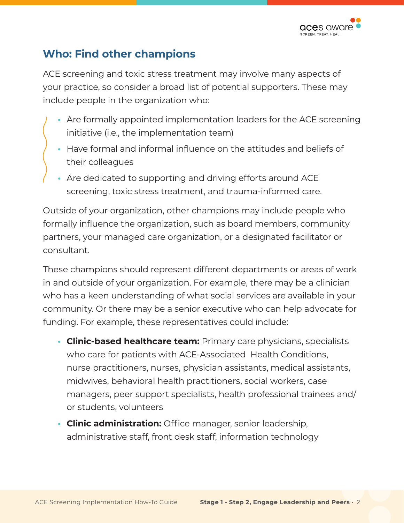

### **Who: Find other champions**

ACE screening and toxic stress treatment may involve many aspects of your practice, so consider a broad list of potential supporters. These may include people in the organization who:

- **•** Are formally appointed implementation leaders for the ACE screening initiative (i.e., the implementation team)
- **•** Have formal and informal influence on the attitudes and beliefs of their colleagues
- **•** Are dedicated to supporting and driving efforts around ACE screening, toxic stress treatment, and trauma-informed care.

Outside of your organization, other champions may include people who formally influence the organization, such as board members, community partners, your managed care organization, or a designated facilitator or consultant.

These champions should represent different departments or areas of work in and outside of your organization. For example, there may be a clinician who has a keen understanding of what social services are available in your community. Or there may be a senior executive who can help advocate for funding. For example, these representatives could include:

- **• Clinic-based healthcare team:** Primary care physicians, specialists who care for patients with ACE-Associated Health Conditions, nurse practitioners, nurses, physician assistants, medical assistants, midwives, behavioral health practitioners, social workers, case managers, peer support specialists, health professional trainees and/ or students, volunteers
- **• Clinic administration:** Office manager, senior leadership, administrative staff, front desk staff, information technology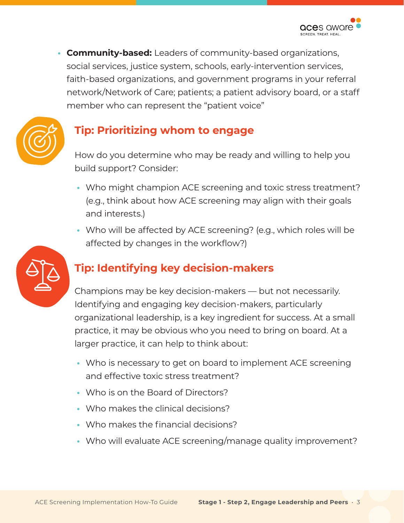**• Community-based:** Leaders of community-based organizations, social services, justice system, schools, early-intervention services, faith-based organizations, and government programs in your referral network/Network of Care; patients; a patient advisory board, or a staff member who can represent the "patient voice"



# **Tip: Prioritizing whom to engage**

How do you determine who may be ready and willing to help you build support? Consider:

- **•** Who might champion ACE screening and toxic stress treatment? (e.g., think about how ACE screening may align with their goals and interests.)
- **•** Who will be affected by ACE screening? (e.g., which roles will be affected by changes in the workflow?)



# **Tip: Identifying key decision-makers**

Champions may be key decision-makers — but not necessarily. Identifying and engaging key decision-makers, particularly organizational leadership, is a key ingredient for success. At a small practice, it may be obvious who you need to bring on board. At a larger practice, it can help to think about:

- **•** Who is necessary to get on board to implement ACE screening and effective toxic stress treatment?
- **•** Who is on the Board of Directors?
- **•** Who makes the clinical decisions?
- **•** Who makes the financial decisions?
- **•** Who will evaluate ACE screening/manage quality improvement?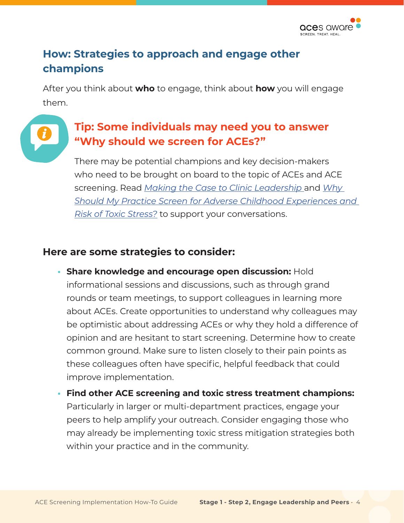

## **How: Strategies to approach and engage other champions**

After you think about **who** to engage, think about **how** you will engage them.

### **Tip: Some individuals may need you to answer "Why should we screen for ACEs?"**

There may be potential champions and key decision-makers who need to be brought on board to the topic of ACEs and ACE screening. Read *[Making the Case to Clinic Leadership](http://www.acesaware.org/wp-content/uploads/2021/05/Making-the-Case-to-Clinic-Leadership.pdf)* and *[Why](http://www.acesaware.org/wp-content/uploads/2021/05/Why-Should-My-Practice-Screen-for-Adverse-Childhood-Experiences-ACEs-and-Risk-of-Toxic-Stress.pdf)  [Should My Practice Screen for Adverse Childhood Experiences and](http://www.acesaware.org/wp-content/uploads/2021/05/Why-Should-My-Practice-Screen-for-Adverse-Childhood-Experiences-ACEs-and-Risk-of-Toxic-Stress.pdf)  [Risk of Toxic Stress?](http://www.acesaware.org/wp-content/uploads/2021/05/Why-Should-My-Practice-Screen-for-Adverse-Childhood-Experiences-ACEs-and-Risk-of-Toxic-Stress.pdf)* to support your conversations.

#### **Here are some strategies to consider:**

- **• Share knowledge and encourage open discussion:** Hold informational sessions and discussions, such as through grand rounds or team meetings, to support colleagues in learning more about ACEs. Create opportunities to understand why colleagues may be optimistic about addressing ACEs or why they hold a difference of opinion and are hesitant to start screening. Determine how to create common ground. Make sure to listen closely to their pain points as these colleagues often have specific, helpful feedback that could improve implementation.
- **• Find other ACE screening and toxic stress treatment champions:**  Particularly in larger or multi-department practices, engage your peers to help amplify your outreach. Consider engaging those who may already be implementing toxic stress mitigation strategies both within your practice and in the community.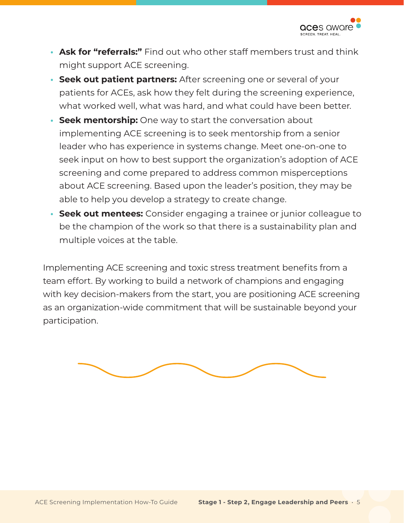

- **• Ask for "referrals:"** Find out who other staff members trust and think might support ACE screening.
- **• Seek out patient partners:** After screening one or several of your patients for ACEs, ask how they felt during the screening experience, what worked well, what was hard, and what could have been better.
- **• Seek mentorship:** One way to start the conversation about implementing ACE screening is to seek mentorship from a senior leader who has experience in systems change. Meet one-on-one to seek input on how to best support the organization's adoption of ACE screening and come prepared to address common misperceptions about ACE screening. Based upon the leader's position, they may be able to help you develop a strategy to create change.
- **• Seek out mentees:** Consider engaging a trainee or junior colleague to be the champion of the work so that there is a sustainability plan and multiple voices at the table.

Implementing ACE screening and toxic stress treatment benefits from a team effort. By working to build a network of champions and engaging with key decision-makers from the start, you are positioning ACE screening as an organization-wide commitment that will be sustainable beyond your participation.